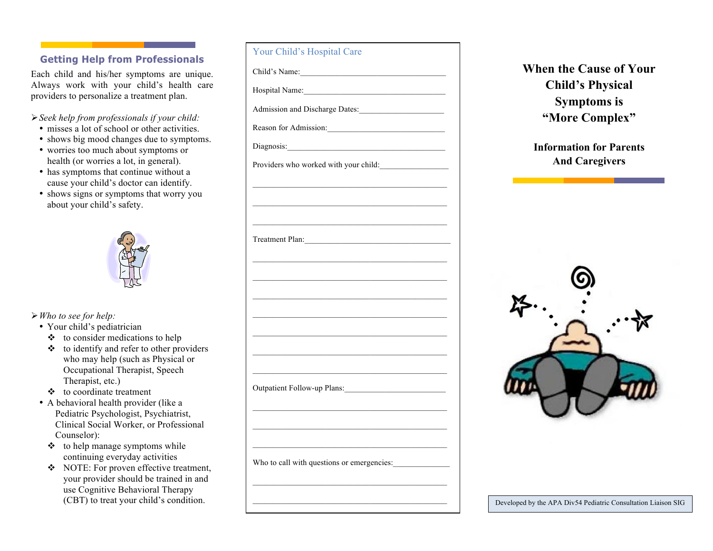## **Getting Help from Professionals**

Each child and his/her symptoms are unique. Always work with your child's health care providers to personalize a treatment plan.

#### *Seek help from professionals if your child:*

- misses a lot of school or other activities.
- shows big mood changes due to symptoms.
- worries too much about symptoms or health (or worries a lot, in general).
- has symptoms that continue without a cause your child's doctor can identify.
- shows signs or symptoms that worry you about your child's safety.



- *Who to see for help:*
	- Your child's pediatrician
		- $\triangleleft$  to consider medications to help
		- $\div$  to identify and refer to other providers who may help (such as Physical or Occupational Therapist, Speech Therapist, etc.)
		- $\triangle$  to coordinate treatment
	- A behavioral health provider (like a Pediatric Psychologist, Psychiatrist, Clinical Social Worker, or Professional Counselor):
		- $\triangleleft$  to help manage symptoms while continuing everyday activities
		- NOTE: For proven effective treatment, your provider should be trained in and use Cognitive Behavioral Therapy

| ting Help from Professionals                                                                                                                                                                                                                                                                                             | <u>Util China s riuspitai Care</u>                                                                            |                                                               |
|--------------------------------------------------------------------------------------------------------------------------------------------------------------------------------------------------------------------------------------------------------------------------------------------------------------------------|---------------------------------------------------------------------------------------------------------------|---------------------------------------------------------------|
| hild and his/her symptoms are unique.<br>work with your child's health care<br>rs to personalize a treatment plan.                                                                                                                                                                                                       |                                                                                                               | <b>When the Cause of Your</b><br><b>Child's Physical</b>      |
|                                                                                                                                                                                                                                                                                                                          |                                                                                                               | <b>Symptoms is</b>                                            |
| help from professionals if your child:<br>ses a lot of school or other activities.<br>ws big mood changes due to symptoms.<br>rries too much about symptoms or<br>Ith (or worries a lot, in general).<br>symptoms that continue without a<br>se your child's doctor can identify.<br>ws signs or symptoms that worry you | Admission and Discharge Dates:<br>Reason for Admission:                                                       | "More Complex"                                                |
|                                                                                                                                                                                                                                                                                                                          | Diagnosis:                                                                                                    | <b>Information for Parents</b>                                |
|                                                                                                                                                                                                                                                                                                                          | Providers who worked with your child:<br><u> 1989 - Johann Barn, mars an t-Amerikaansk politiker (* 1908)</u> | <b>And Caregivers</b>                                         |
| ut your child's safety.                                                                                                                                                                                                                                                                                                  | Treatment Plan:                                                                                               |                                                               |
|                                                                                                                                                                                                                                                                                                                          |                                                                                                               |                                                               |
| to see for help:<br>ur child's pediatrician                                                                                                                                                                                                                                                                              |                                                                                                               |                                                               |
| to consider medications to help<br>to identify and refer to other providers<br>who may help (such as Physical or<br>Occupational Therapist, Speech                                                                                                                                                                       |                                                                                                               |                                                               |
| Therapist, etc.)<br>to coordinate treatment<br>ehavioral health provider (like a<br>ediatric Psychologist, Psychiatrist,                                                                                                                                                                                                 | Outpatient Follow-up Plans:                                                                                   |                                                               |
| linical Social Worker, or Professional<br>'ounselor):<br>to help manage symptoms while                                                                                                                                                                                                                                   |                                                                                                               |                                                               |
| continuing everyday activities<br>NOTE: For proven effective treatment,<br>your provider should be trained in and                                                                                                                                                                                                        | Who to call with questions or emergencies:                                                                    |                                                               |
| use Cognitive Behavioral Therapy<br>(CBT) to treat your child's condition.                                                                                                                                                                                                                                               |                                                                                                               | Developed by the APA Div54 Pediatric Consultation Liaison SIG |

Your Child's Hospital Care